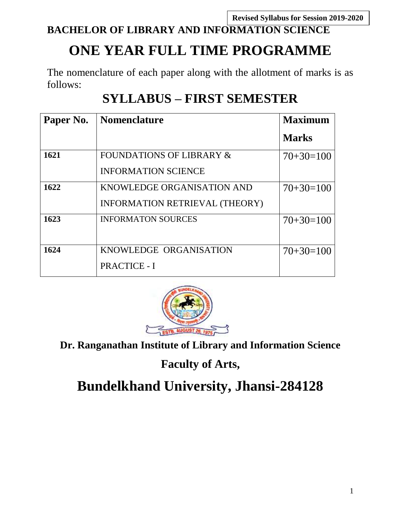**Revised Syllabus for Session 2019-2020**

# **BACHELOR OF LIBRARY AND INFORMATION SCIENCE**

# **ONE YEAR FULL TIME PROGRAMME**

The nomenclature of each paper along with the allotment of marks is as follows:

# **SYLLABUS – FIRST SEMESTER**

| Paper No. | <b>Nomenclature</b>                   | <b>Maximum</b> |
|-----------|---------------------------------------|----------------|
|           |                                       | <b>Marks</b>   |
| 1621      | <b>FOUNDATIONS OF LIBRARY &amp;</b>   | $70+30=100$    |
|           | <b>INFORMATION SCIENCE</b>            |                |
| 1622      | KNOWLEDGE ORGANISATION AND            | $70+30=100$    |
|           | <b>INFORMATION RETRIEVAL (THEORY)</b> |                |
| 1623      | <b>INFORMATON SOURCES</b>             | $70+30=100$    |
| 1624      | KNOWLEDGE ORGANISATION                | $70+30=100$    |
|           | <b>PRACTICE - I</b>                   |                |



**Dr. Ranganathan Institute of Library and Information Science**

**Faculty of Arts,**

# **Bundelkhand University, Jhansi-284128**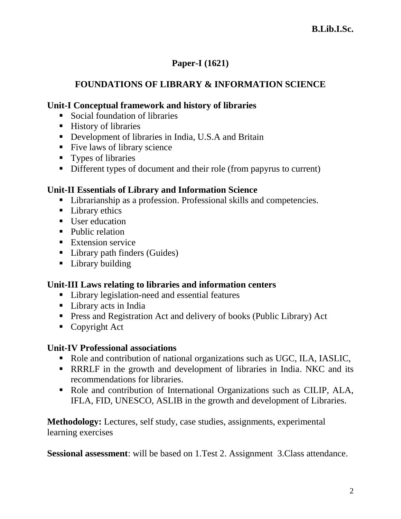# **Paper-I (1621)**

# **FOUNDATIONS OF LIBRARY & INFORMATION SCIENCE**

### **Unit-I Conceptual framework and history of libraries**

- Social foundation of libraries
- History of libraries
- Development of libraries in India, U.S.A and Britain
- Five laws of library science
- **Types of libraries**
- Different types of document and their role (from papyrus to current)

### **Unit-II Essentials of Library and Information Science**

- Librarianship as a profession. Professional skills and competencies.
- Library ethics
- User education
- **Public relation**
- **Extension service**
- Library path finders (Guides)
- Library building

### **Unit-III Laws relating to libraries and information centers**

- Library legislation-need and essential features
- Library acts in India
- Press and Registration Act and delivery of books (Public Library) Act
- Copyright Act

#### **Unit-IV Professional associations**

- Role and contribution of national organizations such as UGC, ILA, IASLIC,
- RRRLF in the growth and development of libraries in India. NKC and its recommendations for libraries.
- Role and contribution of International Organizations such as CILIP, ALA, IFLA, FID, UNESCO, ASLIB in the growth and development of Libraries.

**Methodology:** Lectures, self study, case studies, assignments, experimental learning exercises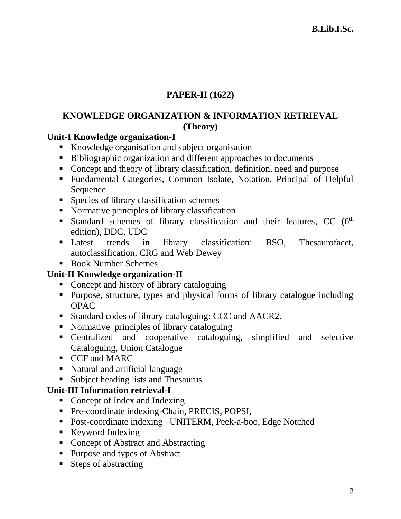# **PAPER-II (1622)**

# **KNOWLEDGE ORGANIZATION & INFORMATION RETRIEVAL (Theory)**

### **Unit-I Knowledge organization-I**

- Knowledge organisation and subject organisation
- Bibliographic organization and different approaches to documents
- Concept and theory of library classification, definition, need and purpose
- Fundamental Categories, Common Isolate, Notation, Principal of Helpful Sequence
- Species of library classification schemes
- Normative principles of library classification
- Standard schemes of library classification and their features, CC  $(6<sup>th</sup>$ edition), DDC, UDC
- Latest trends in library classification: BSO, Thesaurofacet, autoclassification, CRG and Web Dewey
- Book Number Schemes

### **Unit-II Knowledge organization-II**

- Concept and history of library cataloguing
- Purpose, structure, types and physical forms of library catalogue including OPAC
- Standard codes of library cataloguing: CCC and AACR2.
- Normative principles of library cataloguing
- Centralized and cooperative cataloguing, simplified and selective Cataloguing, Union Catalogue
- **CCF** and MARC
- Natural and artificial language
- Subject heading lists and Thesaurus

### **Unit-III Information retrieval-I**

- Concept of Index and Indexing
- Pre-coordinate indexing-Chain, PRECIS, POPSI,
- Post-coordinate indexing –UNITERM, Peek-a-boo, Edge Notched
- Keyword Indexing
- Concept of Abstract and Abstracting
- Purpose and types of Abstract
- Steps of abstracting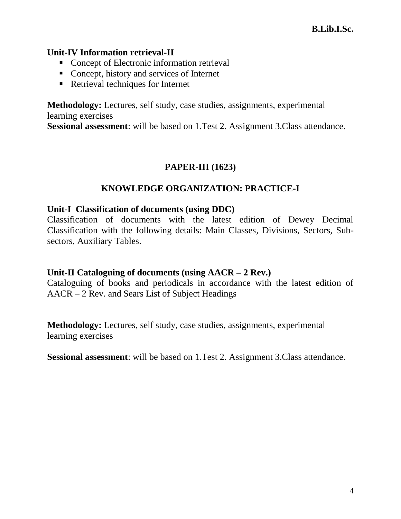#### **Unit-IV Information retrieval-II**

- Concept of Electronic information retrieval
- Concept, history and services of Internet
- Retrieval techniques for Internet

**Methodology:** Lectures, self study, case studies, assignments, experimental learning exercises

**Sessional assessment**: will be based on 1.Test 2. Assignment 3.Class attendance.

### **PAPER-III (1623)**

### **KNOWLEDGE ORGANIZATION: PRACTICE-I**

#### **Unit-I Classification of documents (using DDC)**

Classification of documents with the latest edition of Dewey Decimal Classification with the following details: Main Classes, Divisions, Sectors, Subsectors, Auxiliary Tables.

#### **Unit-II Cataloguing of documents (using AACR – 2 Rev.)**

Cataloguing of books and periodicals in accordance with the latest edition of AACR – 2 Rev. and Sears List of Subject Headings

**Methodology:** Lectures, self study, case studies, assignments, experimental learning exercises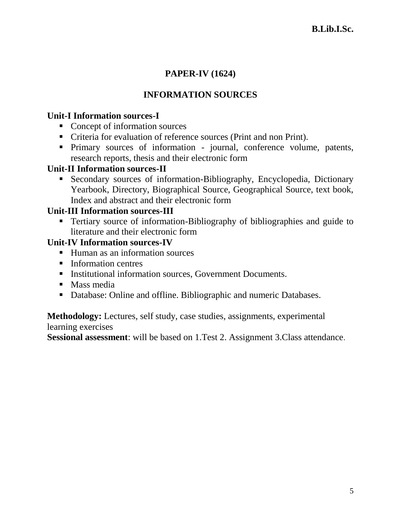# **PAPER-IV (1624)**

# **INFORMATION SOURCES**

### **Unit-I Information sources-I**

- Concept of information sources
- Criteria for evaluation of reference sources (Print and non Print).
- Primary sources of information journal, conference volume, patents, research reports, thesis and their electronic form

### **Unit-II Information sources-II**

 Secondary sources of information-Bibliography, Encyclopedia, Dictionary Yearbook, Directory, Biographical Source, Geographical Source, text book, Index and abstract and their electronic form

### **Unit-III Information sources-III**

**Tertiary source of information-Bibliography of bibliographies and guide to** literature and their electronic form

### **Unit-IV Information sources-IV**

- Human as an information sources
- **Information centres**
- **Institutional information sources, Government Documents.**
- Mass media
- Database: Online and offline. Bibliographic and numeric Databases.

**Methodology:** Lectures, self study, case studies, assignments, experimental learning exercises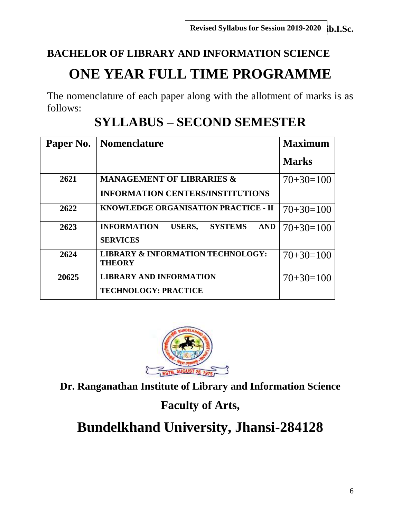# **BACHELOR OF LIBRARY AND INFORMATION SCIENCE ONE YEAR FULL TIME PROGRAMME**

The nomenclature of each paper along with the allotment of marks is as follows:

| Paper No. | Nomenclature                                                                           | <b>Maximum</b> |
|-----------|----------------------------------------------------------------------------------------|----------------|
|           |                                                                                        | <b>Marks</b>   |
| 2621      | <b>MANAGEMENT OF LIBRARIES &amp;</b>                                                   | $70+30=100$    |
|           | <b>INFORMATION CENTERS/INSTITUTIONS</b>                                                |                |
| 2622      | KNOWLEDGE ORGANISATION PRACTICE - II                                                   | $70+30=100$    |
| 2623      | <b>INFORMATION</b><br><b>USERS,</b><br><b>SYSTEMS</b><br><b>AND</b><br><b>SERVICES</b> | $70+30=100$    |
| 2624      | <b>LIBRARY &amp; INFORMATION TECHNOLOGY:</b><br><b>THEORY</b>                          | $70+30=100$    |
| 20625     | <b>LIBRARY AND INFORMATION</b><br><b>TECHNOLOGY: PRACTICE</b>                          | $70+30=100$    |
|           |                                                                                        |                |

# **SYLLABUS – SECOND SEMESTER**



**Dr. Ranganathan Institute of Library and Information Science**

# **Faculty of Arts,**

# **Bundelkhand University, Jhansi-284128**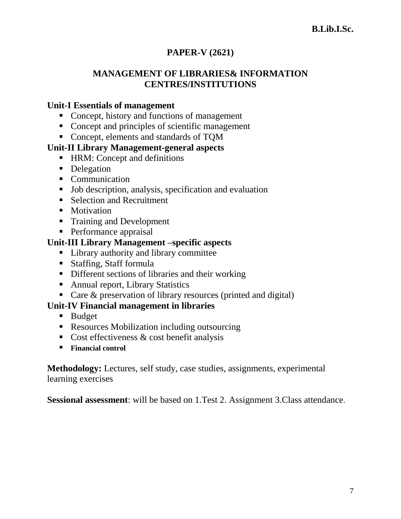# **PAPER-V (2621)**

### **MANAGEMENT OF LIBRARIES& INFORMATION CENTRES/INSTITUTIONS**

### **Unit-I Essentials of management**

- Concept, history and functions of management
- Concept and principles of scientific management
- Concept, elements and standards of TQM

### **Unit-II Library Management-general aspects**

- HRM: Concept and definitions
- Delegation
- Communication
- Job description, analysis, specification and evaluation
- Selection and Recruitment
- Motivation
- **Training and Development**
- **Performance appraisal**

### **Unit-III Library Management –specific aspects**

- Library authority and library committee
- Staffing, Staff formula
- Different sections of libraries and their working
- Annual report, Library Statistics
- Care & preservation of library resources (printed and digital)

### **Unit-IV Financial management in libraries**

- **Budget**
- Resources Mobilization including outsourcing
- Cost effectiveness  $& cost benefit analysis$
- **Financial control**

**Methodology:** Lectures, self study, case studies, assignments, experimental learning exercises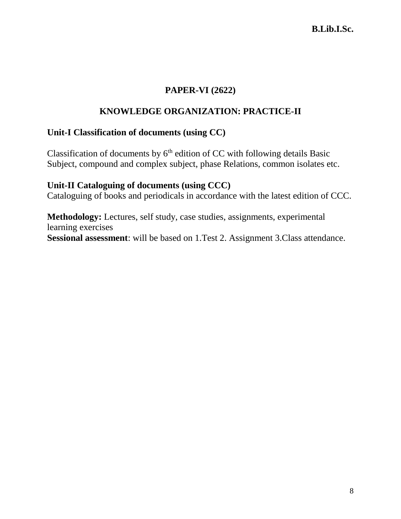### **PAPER-VI (2622)**

# **KNOWLEDGE ORGANIZATION: PRACTICE-II**

### **Unit-I Classification of documents (using CC)**

Classification of documents by  $6<sup>th</sup>$  edition of CC with following details Basic Subject, compound and complex subject, phase Relations, common isolates etc.

### **Unit-II Cataloguing of documents (using CCC)**

Cataloguing of books and periodicals in accordance with the latest edition of CCC.

**Methodology:** Lectures, self study, case studies, assignments, experimental learning exercises **Sessional assessment**: will be based on 1.Test 2. Assignment 3.Class attendance.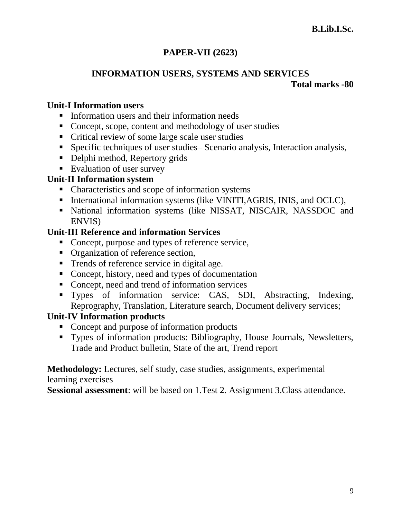# **PAPER-VII (2623)**

# **INFORMATION USERS, SYSTEMS AND SERVICES Total marks -80**

### **Unit-I Information users**

- **Information users and their information needs**
- Concept, scope, content and methodology of user studies
- Critical review of some large scale user studies
- Specific techniques of user studies– Scenario analysis, Interaction analysis,
- Delphi method, Repertory grids
- **Evaluation of user survey**

### **Unit-II Information system**

- Characteristics and scope of information systems
- International information systems (like VINITI, AGRIS, INIS, and OCLC),
- National information systems (like NISSAT, NISCAIR, NASSDOC and ENVIS)

### **Unit-III Reference and information Services**

- Concept, purpose and types of reference service,
- Organization of reference section,
- Trends of reference service in digital age.
- Concept, history, need and types of documentation
- Concept, need and trend of information services
- Types of information service: CAS, SDI, Abstracting, Indexing, Reprography, Translation, Literature search, Document delivery services;

# **Unit-IV Information products**

- Concept and purpose of information products
- Types of information products: Bibliography, House Journals, Newsletters, Trade and Product bulletin, State of the art, Trend report

**Methodology:** Lectures, self study, case studies, assignments, experimental learning exercises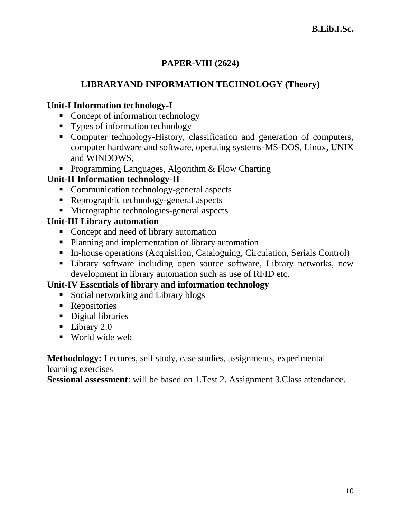# **PAPER-VIII (2624)**

# **LIBRARYAND INFORMATION TECHNOLOGY (Theory)**

# **Unit-I Information technology-I**

- Concept of information technology
- Types of information technology
- Computer technology-History, classification and generation of computers, computer hardware and software, operating systems-MS-DOS, Linux, UNIX and WINDOWS,
- **Programming Languages, Algorithm & Flow Charting**

# **Unit-II Information technology-II**

- Communication technology-general aspects
- Reprographic technology-general aspects
- Micrographic technologies-general aspects

# **Unit-III Library automation**

- Concept and need of library automation
- Planning and implementation of library automation
- In-house operations (Acquisition, Cataloguing, Circulation, Serials Control)
- **EXECUTE:** Library software including open source software, Library networks, new development in library automation such as use of RFID etc.

# **Unit-IV Essentials of library and information technology**

- Social networking and Library blogs
- Repositories
- Digital libraries
- **Library 2.0**
- World wide web

**Methodology:** Lectures, self study, case studies, assignments, experimental learning exercises